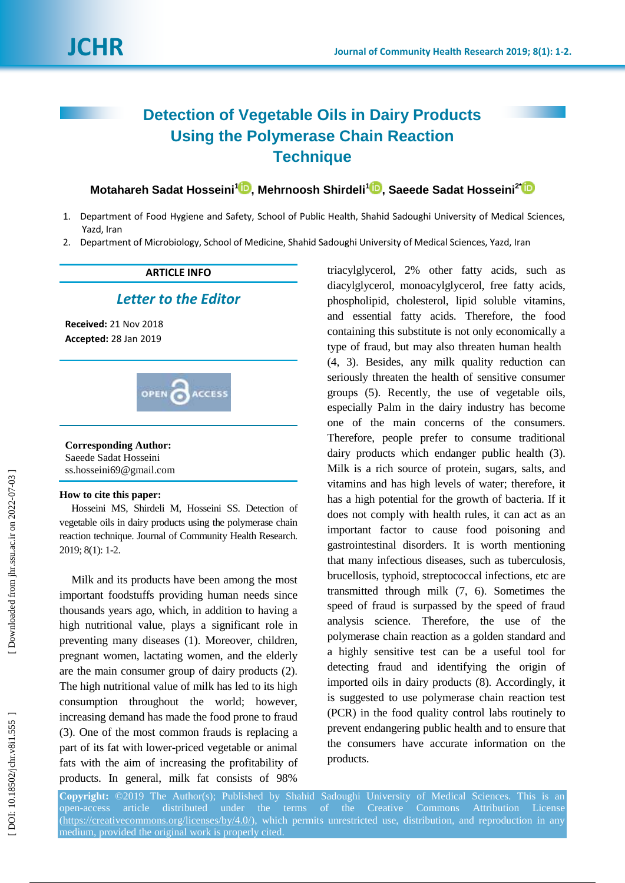# **Detection of Vegetable Oils in Dairy Products Using the Polymerase Chain Reaction Technique**

**Motahareh Sadat Hosseini<sup>1</sup> D[,](https://orcid.org/0000-0002-3361-3941) Mehrnoosh Shirdeli<sup>1</sup> D, Saeede Sadat Hosseini<sup>2</sup>** 

- 1. Department of Food Hygiene and Safety, School of Public Health, Shahid Sadoughi University of Medical Sciences, Yazd, Iran
- 2. Department of Microbiology, School of Medicine, Shahid Sadoughi University of Medical Sciences, Yazd, Iran

## **ARTICLE INFO**

## *Letter to the Editor*

**Received:** 21 Nov 201 8 **Accepted:** 28 Jan 201 9



### **Corresponding Author:**

Saeede Sadat Hosseini ss.hosseini69@gmail.com

#### **How to cite this paper:**

Hosseini MS, Shirdeli M, Hosseini SS. Detection of vegetable oils in dairy products using the polymerase chain reaction technique . Journal of Community Health Research. 2019; 8(1): 1-2.

Milk and its products have been among the most important foodstuffs providing human needs since thousands years ago, which, in addition to having a high nutritional value, plays a significant role in preventing many diseases (1) . Moreover, children, pregnant women, lactating women, and the elderly are the main consumer group of dairy products (2) . The high nutritional value of milk has led to its high consumption throughout the world; however, increasing demand has made the food prone to fraud (3) . One of the most common frauds is replacing a part of its fat with lower -priced vegetable or animal fats with the aim of increasing the profitability of products. In general, milk fat consists of 98%

triacylglycerol, 2% other fatty acids, such as diacylglycerol, monoacylglycerol, free fatty acids, phospholipid, cholesterol, lipid soluble vitamins , and essential fatty acids. Therefore, the food containing this substitute is not only economically a type of fraud, but may also threaten human health (4, 3) . Besides, any milk quality reduction can seriously threaten the health of sensitive consumer groups (5). Recently, the use of vegetable oils, especially Palm in the dairy industry has become one of the main concerns of the consumers. Therefore, people prefer to consume traditional dairy products which endanger public health (3). Milk is a rich source of protein, sugars, salts , and vitamins and has high levels of water; therefore, it has a high potential for the growth of bacteria. If it does not comply with health rules, it can act as an important factor to cause food poisoning and gastrointestinal disorders. It is worth mentioning that many infectious diseases, such as tuberculosis, brucellosis, typhoid, streptococcal infections, etc are transmitted through milk ( 7, 6 ) . Sometimes the speed of fraud is surpassed by the speed of fraud analysis science. Therefore, the use of the polymerase chain reaction as a golden standard and a highly sensitive test can be a useful tool for detecting fraud and identifying the origin of imported oils in dairy products ( 8 ) . Accordingly, it is suggested to use polymerase chain reaction test (PCR) in the food quality control labs routinely to prevent endangering public health and to ensure that the consumers have accurate information on the products.

**Copyright:** ©201 9 The Author(s); Published by Shahid Sadoughi University of Medical Sciences. This is an open -access article distributed under the terms of the Creative Commons Attribution License [\(https://creativecommons.org/licenses/by/4.0/\)](https://creativecommons.org/licenses/by/4.0/), which permits unrestricted use, distribution, and reproduction in any medium, provided the original work is properly cited.